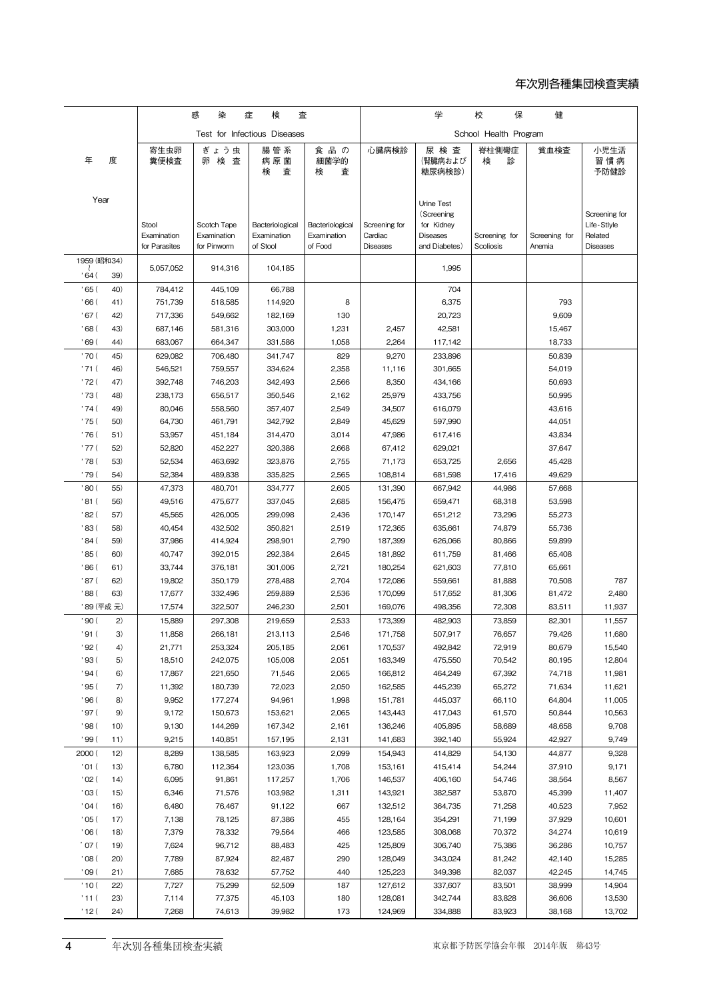## 年次別各種集団検査実績

|                             |                   | 感<br>染<br>検<br>査<br>症        |                            |                                | 学<br>保<br>健<br>校               |                          |                               |                  |                  |                        |
|-----------------------------|-------------------|------------------------------|----------------------------|--------------------------------|--------------------------------|--------------------------|-------------------------------|------------------|------------------|------------------------|
|                             |                   | Test for Infectious Diseases |                            |                                | School Health Program          |                          |                               |                  |                  |                        |
| 年                           | 度                 | 寄生虫卵<br>糞便検査                 | ぎょう虫<br>卵検査                | 腸 管 系<br>病原菌<br>検<br>査         | 食品の<br>細菌学的<br>検<br>査          | 心臓病検診                    | 尿 検 査<br>(腎臓病および<br>糖尿病検診)    | 脊柱側彎症<br>検<br>診  | 貧血検査             | 小児生活<br>習慣病<br>予防健診    |
| Year                        |                   |                              |                            |                                |                                |                          |                               |                  |                  |                        |
|                             |                   |                              |                            |                                |                                |                          | Urine Test<br>(Screening      |                  |                  | Screening for          |
|                             |                   | Stool<br>Examination         | Scotch Tape<br>Examination | Bacteriological<br>Examination | Bacteriological<br>Examination | Screening for<br>Cardiac | for Kidney<br><b>Diseases</b> | Screening for    | Screening for    | Life-Stlyle<br>Related |
|                             |                   | for Parasites                | for Pinworm                | of Stool                       | of Food                        | <b>Diseases</b>          | and Diabetes)                 | Scoliosis        | Anemia           | <b>Diseases</b>        |
| 1959 (昭和34)                 |                   |                              |                            |                                |                                |                          |                               |                  |                  |                        |
| ' 64 (                      | 39)               | 5,057,052                    | 914,316                    | 104,185                        |                                |                          | 1,995                         |                  |                  |                        |
| ' 65 (                      | 40)               | 784,412                      | 445,109                    | 66,788                         |                                |                          | 704                           |                  |                  |                        |
| ' 66 (                      | 41)               | 751,739                      | 518,585                    | 114,920                        | 8                              |                          | 6,375                         |                  | 793              |                        |
| 67 (                        | 42)               | 717,336                      | 549,662                    | 182,169                        | 130                            |                          | 20,723                        |                  | 9,609            |                        |
| 0.68 <sub>0</sub><br>' 69 ( | 43)<br>44)        | 687,146                      | 581,316                    | 303,000                        | 1,231                          | 2,457                    | 42,581                        |                  | 15,467           |                        |
| '70(                        | 45)               | 683,067<br>629,082           | 664,347<br>706,480         | 331,586<br>341,747             | 1,058<br>829                   | 2,264<br>9,270           | 117,142<br>233,896            |                  | 18,733<br>50,839 |                        |
| ' 71 (                      | 46)               | 546,521                      | 759,557                    | 334,624                        | 2,358                          | 11,116                   | 301,665                       |                  | 54,019           |                        |
| ' 72 (                      | 47)               | 392,748                      | 746,203                    | 342,493                        | 2,566                          | 8,350                    | 434,166                       |                  | 50,693           |                        |
| ' 73 (                      | 48)               | 238,173                      | 656,517                    | 350,546                        | 2,162                          | 25,979                   | 433,756                       |                  | 50,995           |                        |
| ' 74 (                      | 49)               | 80.046                       | 558,560                    | 357,407                        | 2,549                          | 34,507                   | 616,079                       |                  | 43,616           |                        |
| ' 75 (                      | 50)               | 64,730                       | 461,791                    | 342,792                        | 2,849                          | 45,629                   | 597,990                       |                  | 44,051           |                        |
| ' 76 (                      | 51)               | 53,957                       | 451,184                    | 314,470                        | 3,014                          | 47,986                   | 617,416                       |                  | 43,834           |                        |
| ' 77 (                      | 52)               | 52,820                       | 452,227                    | 320,386                        | 2,668                          | 67,412                   | 629,021                       |                  | 37,647           |                        |
| ' 78 (<br>' 79 (            | 53)<br>54)        | 52,534<br>52,384             | 463,692<br>489,838         | 323,876<br>335,825             | 2,755<br>2,565                 | 71,173<br>108,814        | 653,725<br>681,598            | 2,656<br>17,416  | 45,428<br>49,629 |                        |
| 80 (                        | 55)               | 47,373                       | 480,701                    | 334,777                        | 2,605                          | 131,390                  | 667,942                       | 44,986           | 57,668           |                        |
| '81 (                       | 56)               | 49,516                       | 475,677                    | 337,045                        | 2,685                          | 156,475                  | 659,471                       | 68,318           | 53,598           |                        |
| ' 82 (                      | 57)               | 45,565                       | 426,005                    | 299,098                        | 2,436                          | 170,147                  | 651,212                       | 73,296           | 55,273           |                        |
| ' 83 (                      | 58)               | 40,454                       | 432,502                    | 350,821                        | 2,519                          | 172,365                  | 635,661                       | 74,879           | 55,736           |                        |
| 84 (                        | 59)               | 37,986                       | 414,924                    | 298,901                        | 2,790                          | 187,399                  | 626,066                       | 80,866           | 59,899           |                        |
| ' 85 (                      | 60)               | 40,747                       | 392,015                    | 292,384                        | 2,645                          | 181,892                  | 611,759                       | 81,466           | 65,408           |                        |
| 86 (                        | 61)               | 33,744                       | 376,181                    | 301,006                        | 2,721                          | 180,254                  | 621,603                       | 77,810           | 65,661           |                        |
| ' 87 (                      | 62)               | 19,802                       | 350,179                    | 278,488                        | 2,704                          | 172,086                  | 559,661                       | 81,888           | 70,508           | 787                    |
| 88 (                        | 63)               | 17,677                       | 332,496                    | 259.889                        | 2,536                          | 170,099                  | 517,652                       | 81,306           | 81,472           | 2,480                  |
| ' 90 (                      | ' 89 (平成 元)<br>2) | 17,574<br>15,889             | 322,507<br>297,308         | 246,230<br>219,659             | 2,501<br>2,533                 | 169,076<br>173,399       | 498,356<br>482,903            | 72,308<br>73,859 | 83,511<br>82,301 | 11,937<br>11,557       |
| '91 (                       | 3)                | 11,858                       | 266,181                    | 213,113                        | 2,546                          | 171,758                  | 507,917                       | 76,657           | 79,426           | 11,680                 |
| ' 92 (                      | 4)                | 21,771                       | 253,324                    | 205,185                        | 2,061                          | 170,537                  | 492,842                       | 72,919           | 80,679           | 15,540                 |
| ' 93 (                      | 5)                | 18,510                       | 242,075                    | 105,008                        | 2,051                          | 163,349                  | 475,550                       | 70,542           | 80,195           | 12,804                 |
| ' 94 (                      | 6)                | 17,867                       | 221,650                    | 71,546                         | 2,065                          | 166,812                  | 464,249                       | 67,392           | 74,718           | 11,981                 |
| ' 95 (                      | 7)                | 11,392                       | 180,739                    | 72,023                         | 2,050                          | 162,585                  | 445,239                       | 65,272           | 71,634           | 11,621                 |
| ' 96 (                      | 8)                | 9,952                        | 177,274                    | 94,961                         | 1,998                          | 151,781                  | 445,037                       | 66,110           | 64,804           | 11,005                 |
| ' 97 (                      | 9)                | 9,172                        | 150,673                    | 153,621                        | 2,065                          | 143,443                  | 417,043                       | 61,570           | 50,844           | 10,563                 |
| ' 98 (                      | 10)               | 9,130                        | 144,269                    | 167,342                        | 2,161                          | 136,246                  | 405,895                       | 58,689           | 48,658           | 9,708                  |
| ' 99 (<br>2000 (            | 11)<br>12)        | 9,215<br>8,289               | 140,851<br>138,585         | 157,195<br>163,923             | 2,131<br>2,099                 | 141,683<br>154,943       | 392,140<br>414,829            | 55,924<br>54,130 | 42,927<br>44,877 | 9,749<br>9,328         |
| '01(                        | 13)               | 6,780                        | 112,364                    | 123,036                        | 1,708                          | 153,161                  | 415,414                       | 54,244           | 37,910           | 9,171                  |
| 02(                         | 14)               | 6,095                        | 91,861                     | 117,257                        | 1,706                          | 146,537                  | 406,160                       | 54,746           | 38,564           | 8,567                  |
| , 03 (                      | 15)               | 6,346                        | 71,576                     | 103,982                        | 1,311                          | 143,921                  | 382,587                       | 53,870           | 45,399           | 11,407                 |
| '04(                        | 16)               | 6,480                        | 76,467                     | 91,122                         | 667                            | 132,512                  | 364,735                       | 71,258           | 40,523           | 7,952                  |
| 05(                         | 17)               | 7,138                        | 78,125                     | 87,386                         | 455                            | 128,164                  | 354,291                       | 71,199           | 37,929           | 10,601                 |
| 06(                         | 18)               | 7,379                        | 78,332                     | 79,564                         | 466                            | 123,585                  | 308,068                       | 70,372           | 34,274           | 10,619                 |
| ' 07 (                      | 19)               | 7,624                        | 96,712                     | 88,483                         | 425                            | 125,809                  | 306,740                       | 75,386           | 36,286           | 10,757                 |
| 08(<br>, 09 (               | 20)               | 7,789                        | 87,924                     | 82,487                         | 290                            | 128,049                  | 343,024<br>349,398            | 81,242<br>82,037 | 42,140           | 15,285                 |
| '10(                        | 21)<br>22)        | 7,685<br>7,727               | 78,632<br>75,299           | 57,752<br>52,509               | 440<br>187                     | 125,223<br>127,612       | 337,607                       | 83,501           | 42,245<br>38,999 | 14,745<br>14,904       |
| '11(                        | 23)               | 7,114                        | 77,375                     | 45,103                         | 180                            | 128,081                  | 342,744                       | 83,828           | 36,606           | 13,530                 |
| '12(                        | (24)              | 7,268                        | 74,613                     | 39,982                         | 173                            | 124,969                  | 334,888                       | 83,923           | 38,168           | 13,702                 |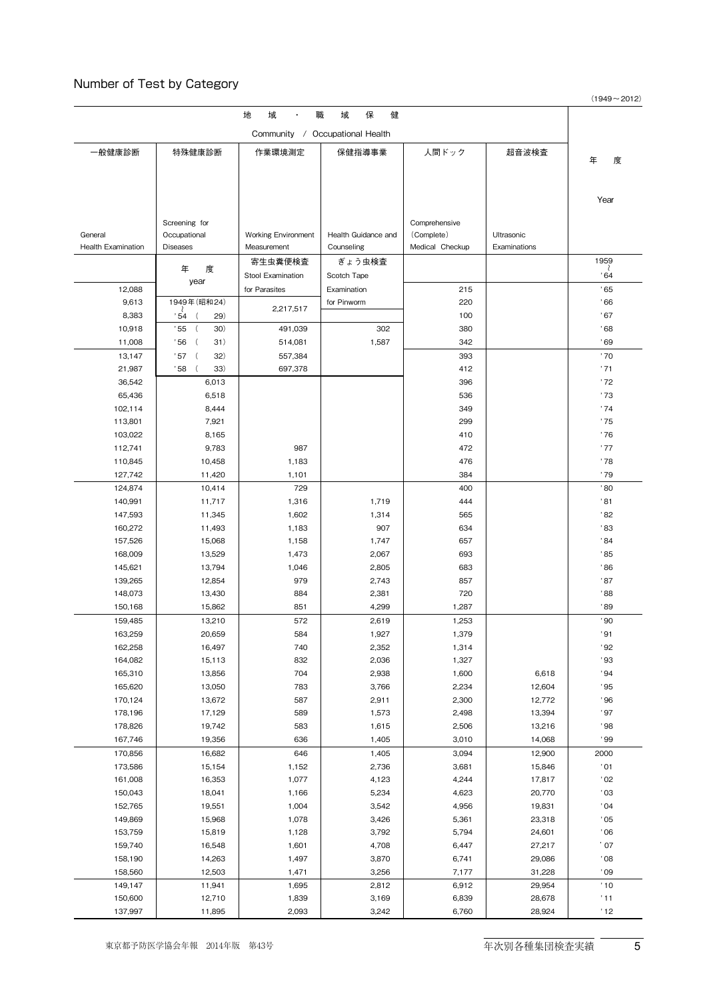## Number of Test by Category

 $(1949 \sim 2012)$ 

| 地<br>域<br>保<br>健<br>職<br>域      |                               |                     |                     |                 |              |                  |  |  |  |  |
|---------------------------------|-------------------------------|---------------------|---------------------|-----------------|--------------|------------------|--|--|--|--|
| Community / Occupational Health |                               |                     |                     |                 |              |                  |  |  |  |  |
| 一般健康診断                          | 特殊健康診断                        | 作業環境測定              | 保健指導事業              | 人間ドック           | 超音波検査        |                  |  |  |  |  |
|                                 |                               |                     |                     |                 |              | 年<br>度           |  |  |  |  |
|                                 |                               |                     |                     |                 |              |                  |  |  |  |  |
|                                 |                               |                     |                     |                 |              |                  |  |  |  |  |
|                                 |                               |                     |                     |                 |              | Year             |  |  |  |  |
|                                 | Screening for                 |                     |                     | Comprehensive   |              |                  |  |  |  |  |
| General                         | Occupational                  | Working Environment | Health Guidance and | (Complete)      | Ultrasonic   |                  |  |  |  |  |
| <b>Health Examination</b>       | <b>Diseases</b>               | Measurement         | Counseling          | Medical Checkup | Examinations |                  |  |  |  |  |
|                                 |                               | 寄生虫糞便検査             | ぎょう虫検査              |                 |              | 1959             |  |  |  |  |
|                                 | 年<br>度                        | Stool Examination   | Scotch Tape         |                 |              | .64              |  |  |  |  |
| 12,088                          | year                          | for Parasites       | Examination         | 215             |              | .65              |  |  |  |  |
| 9,613                           | 1949年(昭和24)                   |                     | for Pinworm         | 220             |              | .66              |  |  |  |  |
| 8,383                           | ' 54<br>29)                   | 2,217,517           |                     | 100             |              | .67              |  |  |  |  |
| 10,918                          | .55<br>$\overline{ }$<br>30)  | 491,039             | 302                 | 380             |              | '68              |  |  |  |  |
| 11,008                          | 31)<br>' 56<br>$\overline{ }$ | 514,081             | 1,587               | 342             |              | .69              |  |  |  |  |
| 13,147                          | 32)<br>' 57<br>$\overline{ }$ | 557.384             |                     | 393             |              | '70              |  |  |  |  |
| 21,987                          | 33)<br>' 58                   | 697,378             |                     | 412             |              | '71              |  |  |  |  |
| 36,542                          | 6,013                         |                     |                     | 396             |              | '72              |  |  |  |  |
| 65,436                          | 6,518                         |                     |                     | 536             |              | '73              |  |  |  |  |
| 102,114                         | 8,444                         |                     |                     | 349             |              | '74              |  |  |  |  |
| 113,801                         | 7,921                         |                     |                     | 299             |              | '75              |  |  |  |  |
| 103,022                         | 8,165                         |                     |                     | 410             |              | '76              |  |  |  |  |
| 112,741                         | 9,783                         | 987                 |                     | 472             |              | '77              |  |  |  |  |
| 110,845                         | 10,458                        | 1,183               |                     | 476             |              | '78              |  |  |  |  |
| 127,742                         | 11,420                        | 1,101               |                     | 384             |              | ' 79             |  |  |  |  |
| 124,874                         | 10,414                        | 729                 |                     | 400             |              | '80              |  |  |  |  |
| 140,991                         | 11,717                        | 1,316               | 1,719               | 444             |              | '81              |  |  |  |  |
| 147,593                         | 11,345                        | 1,602               | 1,314               | 565             |              | '82              |  |  |  |  |
| 160,272                         | 11,493                        | 1,183               | 907                 | 634             |              | ' 83             |  |  |  |  |
| 157,526                         | 15,068                        | 1,158               | 1,747               | 657             |              | .84              |  |  |  |  |
| 168,009                         | 13,529                        | 1,473               | 2,067               | 693             |              | '85              |  |  |  |  |
| 145,621                         | 13,794                        | 1,046               | 2,805               | 683             |              | ' 86             |  |  |  |  |
| 139,265                         | 12,854                        | 979                 | 2,743               | 857             |              | '87              |  |  |  |  |
| 148,073                         | 13,430                        | 884<br>851          | 2,381               | 720             |              | ' 88<br>'89      |  |  |  |  |
| 150,168                         | 15,862                        |                     | 4,299               | 1,287           |              | .80 <sub>o</sub> |  |  |  |  |
| 159,485<br>163,259              | 13,210<br>20,659              | 572<br>584          | 2,619<br>1,927      | 1,253<br>1,379  |              | '91              |  |  |  |  |
| 162,258                         | 16,497                        | 740                 | 2,352               | 1,314           |              | ' 92             |  |  |  |  |
| 164,082                         | 15,113                        | 832                 | 2,036               | 1,327           |              | .93              |  |  |  |  |
| 165,310                         | 13,856                        | 704                 | 2,938               | 1,600           | 6,618        | .94              |  |  |  |  |
| 165,620                         | 13,050                        | 783                 | 3,766               | 2,234           | 12,604       | .95              |  |  |  |  |
| 170,124                         | 13,672                        | 587                 | 2,911               | 2,300           | 12,772       | .96              |  |  |  |  |
| 178,196                         | 17,129                        | 589                 | 1,573               | 2,498           | 13,394       | .97              |  |  |  |  |
| 178,826                         | 19,742                        | 583                 | 1,615               | 2,506           | 13,216       | .98              |  |  |  |  |
| 167,746                         | 19,356                        | 636                 | 1,405               | 3,010           | 14,068       | .99              |  |  |  |  |
| 170,856                         | 16,682                        | 646                 | 1,405               | 3,094           | 12,900       | 2000             |  |  |  |  |
| 173,586                         | 15,154                        | 1,152               | 2,736               | 3,681           | 15,846       | '01              |  |  |  |  |
| 161,008                         | 16,353                        | 1,077               | 4,123               | 4,244           | 17,817       | '02              |  |  |  |  |
| 150,043                         | 18,041                        | 1,166               | 5,234               | 4,623           | 20,770       | 03               |  |  |  |  |
| 152,765                         | 19,551                        | 1,004               | 3,542               | 4,956           | 19,831       | '04              |  |  |  |  |
| 149,869                         | 15,968                        | 1,078               | 3,426               | 5,361           | 23,318       | .05              |  |  |  |  |
| 153,759                         | 15,819                        | 1,128               | 3,792               | 5,794           | 24,601       | 06'              |  |  |  |  |
| 159,740                         | 16,548                        | 1,601               | 4,708               | 6,447           | 27,217       | $^{\prime}$ 07   |  |  |  |  |
| 158,190                         | 14,263                        | 1,497               | 3,870               | 6,741           | 29,086       | 08'              |  |  |  |  |
| 158,560                         | 12,503                        | 1,471               | 3,256               | 7,177           | 31,228       | $^{\circ}$ 09    |  |  |  |  |
| 149,147                         | 11,941                        | 1,695               | 2,812               | 6,912           | 29,954       | '10              |  |  |  |  |
| 150,600                         | 12,710                        | 1,839               | 3,169               | 6,839           | 28,678       | '11              |  |  |  |  |
| 137,997                         | 11,895                        | 2,093               | 3,242               | 6,760           | 28,924       | '12              |  |  |  |  |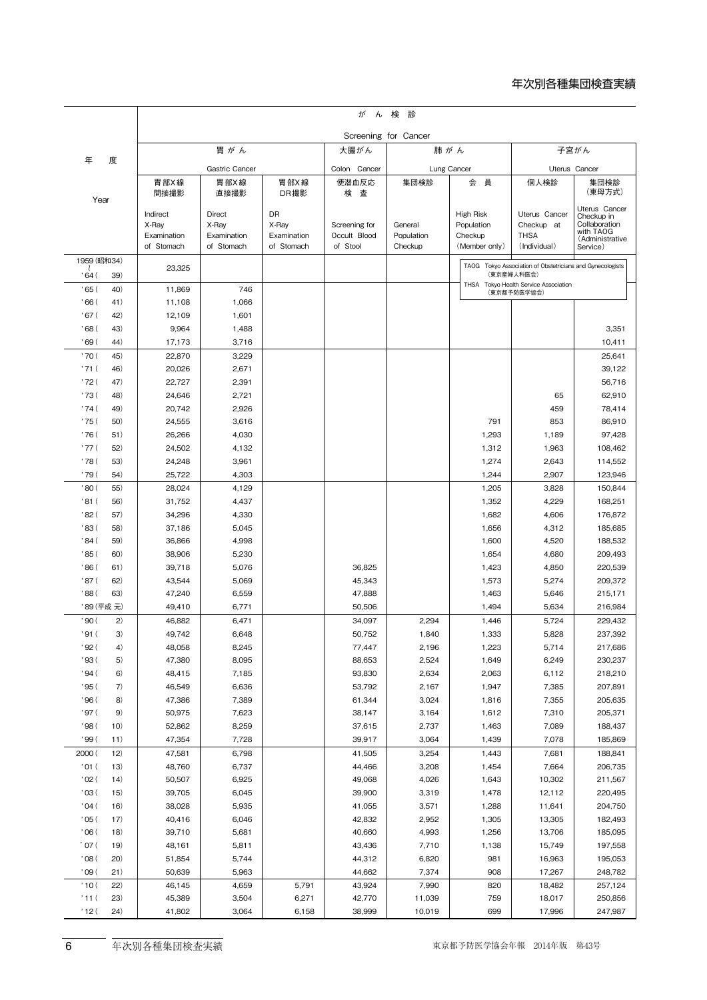## 年次別各種集団検査実績

|                    |            | が<br>ん検診             |                      |                      |                               |                       |                                                      |                                                           |                             |  |  |
|--------------------|------------|----------------------|----------------------|----------------------|-------------------------------|-----------------------|------------------------------------------------------|-----------------------------------------------------------|-----------------------------|--|--|
|                    |            |                      |                      |                      | Screening for Cancer          |                       |                                                      |                                                           |                             |  |  |
|                    |            | 胃がん                  |                      |                      | 大腸がん                          |                       | 肺がん                                                  | 子宮がん                                                      |                             |  |  |
| 年<br>度             |            | Gastric Cancer       |                      |                      | Colon Cancer                  |                       | Lung Cancer                                          | Uterus Cancer                                             |                             |  |  |
|                    |            | 胃 部X 線               | 胃部X線                 | 胃部X線                 | 便潜血反応                         | 集団検診                  | 会<br>員                                               | 個人検診                                                      | 集団検診                        |  |  |
| Year               |            | 間接撮影                 | 直接撮影                 | DR撮影                 | 検 査                           |                       |                                                      |                                                           | (東母方式)                      |  |  |
|                    |            | Indirect             | Direct               | DR                   |                               |                       | High Risk                                            | Uterus Cancer                                             | Uterus Cancer<br>Checkup in |  |  |
|                    |            | X-Ray<br>Examination | X-Ray<br>Examination | X-Ray<br>Examination | Screening for<br>Occult Blood | General<br>Population | Population<br>Checkup                                | Checkup at<br><b>THSA</b>                                 | Collaboration<br>with TAOG  |  |  |
|                    |            | of Stomach           | of Stomach           | of Stomach           | of Stool                      | Checkup               | (Member only)                                        | (Individual)                                              | (Administrative<br>Service) |  |  |
| 1959 (昭和34)        |            |                      |                      |                      |                               |                       |                                                      | TAOG Tokyo Association of Obstetricians and Gynecologists |                             |  |  |
| ' 64 (<br>39)      |            | 23,325               |                      |                      |                               |                       |                                                      | (東京産婦人科医会)                                                |                             |  |  |
| ' 65 (             | 40)        | 11,869               | 746                  |                      |                               |                       | THSA Tokyo Health Service Association<br>(東京都予防医学協会) |                                                           |                             |  |  |
| ' 66 (             | 41)        | 11,108               | 1,066                |                      |                               |                       |                                                      |                                                           |                             |  |  |
| ' 67 (<br>' 68 (   | 42)<br>43) | 12,109<br>9,964      | 1,601                |                      |                               |                       |                                                      |                                                           |                             |  |  |
| ' 69 (             | 44)        | 17,173               | 1,488<br>3,716       |                      |                               |                       |                                                      |                                                           | 3,351<br>10,411             |  |  |
| ' 70 (             | 45)        | 22,870               | 3,229                |                      |                               |                       |                                                      |                                                           | 25,641                      |  |  |
| ' 71 (             | 46)        | 20,026               | 2,671                |                      |                               |                       |                                                      |                                                           | 39,122                      |  |  |
| '72(               | 47)        | 22,727               | 2,391                |                      |                               |                       |                                                      |                                                           | 56,716                      |  |  |
| ' 73 (             | 48)        | 24,646               | 2,721                |                      |                               |                       |                                                      | 65                                                        | 62,910                      |  |  |
| ' 74 (             | 49)        | 20,742               | 2,926                |                      |                               |                       |                                                      | 459                                                       | 78,414                      |  |  |
| ' 75 (             | 50)        | 24,555               | 3,616                |                      |                               |                       | 791                                                  | 853                                                       | 86,910                      |  |  |
| ' 76 (             | 51)        | 26,266               | 4,030                |                      |                               |                       | 1,293                                                | 1,189                                                     | 97,428                      |  |  |
| ' 77 (             | 52)        | 24,502               | 4,132                |                      |                               |                       | 1,312                                                | 1,963                                                     | 108,462                     |  |  |
| ' 78 (<br>' 79 (   | 53)<br>54) | 24,248<br>25,722     | 3,961<br>4,303       |                      |                               |                       | 1,274<br>1,244                                       | 2,643<br>2,907                                            | 114,552<br>123,946          |  |  |
| '80(               | 55)        | 28,024               | 4,129                |                      |                               |                       | 1,205                                                | 3,828                                                     | 150,844                     |  |  |
| '81 (              | 56)        | 31,752               | 4,437                |                      |                               |                       | 1,352                                                | 4,229                                                     | 168,251                     |  |  |
| ' 82 (             | 57)        | 34,296               | 4,330                |                      |                               |                       | 1,682                                                | 4,606                                                     | 176,872                     |  |  |
| ' 83 (             | 58)        | 37,186               | 5,045                |                      |                               |                       | 1,656                                                | 4,312                                                     | 185,685                     |  |  |
| 84 (               | 59)        | 36,866               | 4,998                |                      |                               |                       | 1,600                                                | 4,520                                                     | 188,532                     |  |  |
| ' 85 (             | 60)        | 38,906               | 5,230                |                      |                               |                       | 1,654                                                | 4,680                                                     | 209,493                     |  |  |
| 86 (               | 61)        | 39,718               | 5,076                |                      | 36,825                        |                       | 1,423                                                | 4,850                                                     | 220,539                     |  |  |
| ' 87 (             | 62)        | 43,544               | 5,069                |                      | 45,343                        |                       | 1,573                                                | 5,274                                                     | 209,372                     |  |  |
| 88 (               | 63)        | 47,240               | 6,559                |                      | 47,888                        |                       | 1,463                                                | 5,646                                                     | 215,171                     |  |  |
|                    | '89 (平成元)  | 49,410               | 6,771                |                      | 50,506                        |                       | 1,494                                                | 5,634                                                     | 216,984                     |  |  |
| ' 90 (             | 2)         | 46,882               | 6,471                |                      | 34,097                        | 2,294                 | 1,446<br>1,333                                       | 5,724<br>5,828                                            | 229,432<br>237,392          |  |  |
| '91 (<br>92(       | 3)<br>4)   | 49,742<br>48,058     | 6,648<br>8,245       |                      | 50,752<br>77,447              | 1,840<br>2,196        | 1,223                                                | 5,714                                                     | 217,686                     |  |  |
| 93(                | 5)         | 47,380               | 8,095                |                      | 88,653                        | 2,524                 | 1,649                                                | 6,249                                                     | 230,237                     |  |  |
| 94(                | 6)         | 48,415               | 7,185                |                      | 93,830                        | 2,634                 | 2,063                                                | 6,112                                                     | 218,210                     |  |  |
| '95 (              | 7)         | 46,549               | 6,636                |                      | 53,792                        | 2,167                 | 1,947                                                | 7,385                                                     | 207,891                     |  |  |
| ' 96 (             | 8)         | 47,386               | 7,389                |                      | 61,344                        | 3,024                 | 1,816                                                | 7,355                                                     | 205,635                     |  |  |
| ' 97 (             | 9)         | 50,975               | 7,623                |                      | 38,147                        | 3,164                 | 1,612                                                | 7,310                                                     | 205,371                     |  |  |
| ' 98 (             | 10)        | 52,862               | 8,259                |                      | 37,615                        | 2,737                 | 1,463                                                | 7,089                                                     | 188,437                     |  |  |
| ' 99 (             | 11)        | 47,354               | 7,728                |                      | 39,917                        | 3,064                 | 1,439                                                | 7,078                                                     | 185,869                     |  |  |
| 2000 (             | 12)        | 47,581               | 6,798                |                      | 41,505                        | 3,254                 | 1,443                                                | 7,681                                                     | 188,841                     |  |  |
| $'01$ (            | 13)        | 48,760               | 6,737                |                      | 44,466                        | 3,208                 | 1,454                                                | 7,664                                                     | 206,735                     |  |  |
| $'$ O2 $($<br>'03( | 14)<br>15) | 50,507<br>39,705     | 6,925<br>6,045       |                      | 49,068<br>39,900              | 4,026<br>3,319        | 1,643<br>1,478                                       | 10,302<br>12,112                                          | 211,567<br>220,495          |  |  |
| '04(               | 16)        | 38,028               | 5,935                |                      | 41,055                        | 3,571                 | 1,288                                                | 11,641                                                    | 204,750                     |  |  |
| '05(               | 17)        | 40,416               | 6,046                |                      | 42,832                        | 2,952                 | 1,305                                                | 13,305                                                    | 182,493                     |  |  |
| 06(                | 18)        | 39,710               | 5,681                |                      | 40,660                        | 4,993                 | 1,256                                                | 13,706                                                    | 185,095                     |  |  |
| $^{\prime}$ 07 (   | 19)        | 48,161               | 5,811                |                      | 43,436                        | 7,710                 | 1,138                                                | 15,749                                                    | 197,558                     |  |  |
| $^{\circ}$ 08 (    | (20)       | 51,854               | 5,744                |                      | 44,312                        | 6,820                 | 981                                                  | 16,963                                                    | 195,053                     |  |  |
| '09(               | 21)        | 50,639               | 5,963                |                      | 44,662                        | 7,374                 | 908                                                  | 17,267                                                    | 248,782                     |  |  |
| '10(               | 22)        | 46,145               | 4,659                | 5,791                | 43,924                        | 7,990                 | 820                                                  | 18,482                                                    | 257,124                     |  |  |
| '11(<br>'12(       | 23)        | 45,389               | 3,504                | 6,271                | 42,770                        | 11,039                | 759                                                  | 18,017                                                    | 250,856                     |  |  |
|                    | (24)       | 41,802               | 3,064                | 6,158                | 38,999                        | 10,019                | 699                                                  | 17,996                                                    | 247,987                     |  |  |